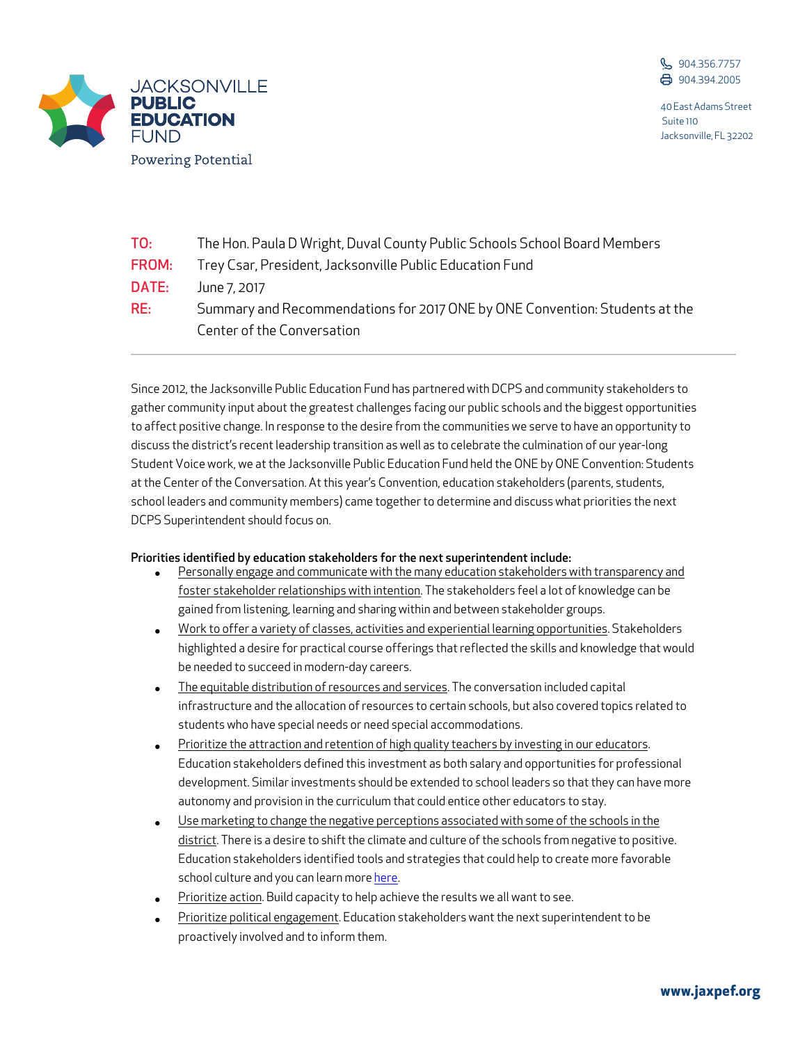

40 East Adams Street Suite 110 Jacksonville, FL 32202



| TO:   | The Hon. Paula D Wright, Duval County Public Schools School Board Members                                 |
|-------|-----------------------------------------------------------------------------------------------------------|
| FROM: | Trey Csar, President, Jacksonville Public Education Fund                                                  |
| DATE: | June 7, 2017                                                                                              |
| RE:   | Summary and Recommendations for 2017 ONE by ONE Convention: Students at the<br>Center of the Conversation |

Since 2012, the Jacksonville Public Education Fund has partnered with DCPS and community stakeholders to gather community input about the greatest challenges facing our public schools and the biggest opportunities to affect positive change. In response to the desire from the communities we serve to have an opportunity to discuss the district's recent leadership transition as well as to celebrate the culmination of our year-long Student Voice work, we at the Jacksonville Public Education Fund held the ONE by ONE Convention: Students at the Center of the Conversation. At this year's Convention, education stakeholders (parents, students, school leaders and community members) came together to determine and discuss what priorities the next DCPS Superintendent should focus on.

## Priorities identified by education stakeholders for the next superintendent include:

- Personally engage and communicate with the many education stakeholders with transparency and foster stakeholder relationships with intention. The stakeholders feel a lot of knowledge can be gained from listening, learning and sharing within and between stakeholder groups.
- Work to offer a variety of classes, activities and experiential learning opportunities. Stakeholders highlighted a desire for practical course offerings that reflected the skills and knowledge that would be needed to succeed in modern-day careers.
- The equitable distribution of resources and services. The conversation included capital infrastructure and the allocation of resources to certain schools, but also covered topics related to students who have special needs or need special accommodations.
- Prioritize the attraction and retention of high quality teachers by investing in our educators. Education stakeholders defined this investment as both salary and opportunities for professional development. Similar investments should be extended to school leaders so that they can have more autonomy and provision in the curriculum that could entice other educators to stay.
- Use marketing to change the negative perceptions associated with some of the schools in the district. There is a desire to shift the climate and culture of the schools from negative to positive. Education stakeholders identified tools and strategies that could help to create more favorable school culture and you can learn more here.
- Prioritize action. Build capacity to help achieve the results we all want to see.
- Prioritize political engagement. Education stakeholders want the next superintendent to be proactively involved and to inform them.